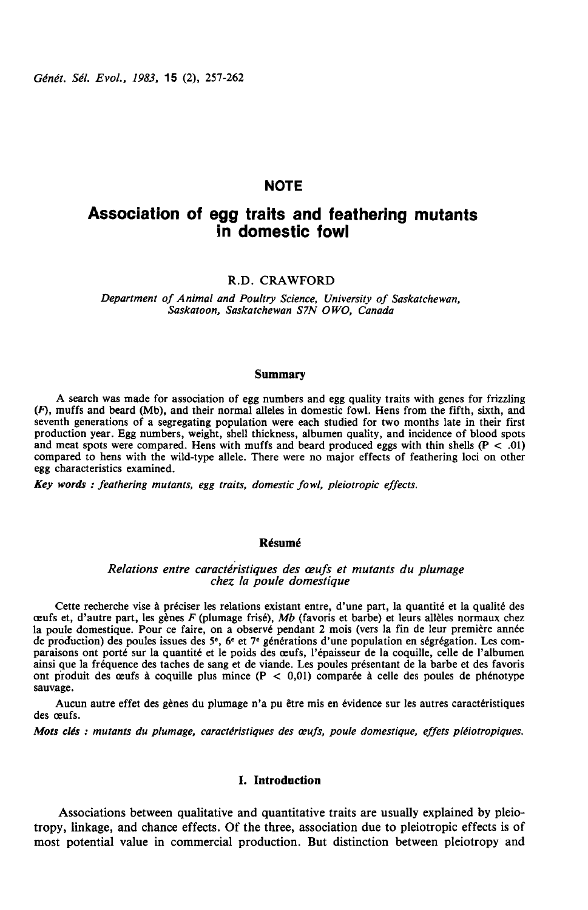# **NOTE**

# Association of egg traits and feathering mutants in domestic fowl

## R.D. CRAWFORD

Department of Animal and Poultry Science, University of Saskatchewan, Saskatoon, Saskatchewan S7N OWO, Canada

### Summary

A search was made for association of egg numbers and egg quality traits with genes for frizzling  $(F)$ , muffs and beard (Mb), and their normal alleles in domestic fowl. Hens from the fifth, sixth, and seventh generations of a segregating population were each studied for two months late in their first production year. Egg numbers, weight, shell thickness, albumen quality, and incidence of blood spots and meat spots were compared. Hens with muffs and beard produced eggs with thin shells  $(P < .01)$ compared to hens with the wild-type allele. There were no major effects of feathering loci on other egg characteristics examined.

Key words : feathering mutants, egg traits, domestic fowl, pleiotropic effects.

### Résumé

### Relations entre caractéristiques des œufs et mutants du plumage chez la poule domestique

Cette recherche vise à préciser les relations existant entre, d'une part, la quantité et la qualité des ceufs et, d'autre part, les gènes  $F$  (plumage frisé), Mb (favoris et barbe) et leurs allèles normaux chez la poule domestique. Pour ce faire, on a observé pendant 2 mois (vers la fin de leur première année de production) des poules issues des  $5^e$ , 6<sup>e</sup> et 7<sup>e</sup> générations d'une population en ségrégation. Les comparaisons ont porté sur la quantité et le poids des ceufs, l'épaisseur de la coquille, celle de l'albumen ainsi que la fréquence des taches de sang et de viande. Les poules présentant de la barbe et des favoris ont produit des œufs à coquille plus mince  $(P < 0.01)$  comparée à celle des poules de phénotype sauvage.

Aucun autre effet des gènes du plumage n'a pu être mis en évidence sur les autres caractéristiques des œufs.

Mots clés : mutants du plumage, caractéristiques des œufs, poule domestique, effets pléiotropiques.

### I. Introduction

Associations between qualitative and quantitative traits are usually explained by pleiotropy, linkage, and chance effects. Of the three, association due to pleiotropic effects is of most potential value in commercial production. But distinction between pleiotropy and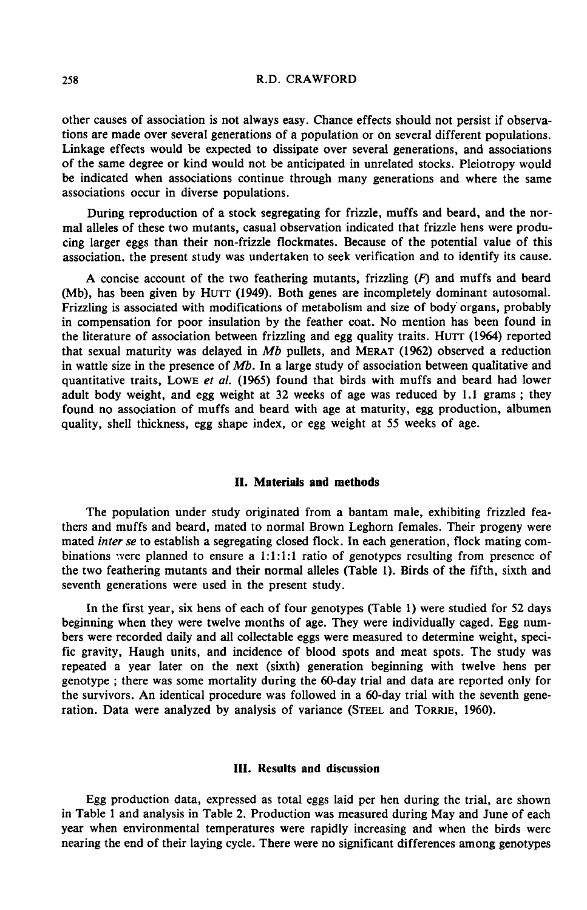### R.D. CRAWFORD

other causes of association is not always easy. Chance effects should not persist if observations are made over several generations of a population or on several different populations. Linkage effects would be expected to dissipate over several generations, and associations of the same degree or kind would not be anticipated in unrelated stocks. Pleiotropy would be indicated when associations continue through many generations and where the same associations occur in diverse populations.

During reproduction of a stock segregating for frizzle, muffs and beard, and the normal alleles of these two mutants, casual observation indicated that frizzle hens were producing larger eggs than their non-frizzle flockmates. Because of the potential value of this association. the present study was undertaken to seek verification and to identify its cause.

A concise account of the two feathering mutants, frizzling  $(F)$  and muffs and beard (Mb), has been given by HUTT (1949). Both genes are incompletely dominant autosomal. Frizzling is associated with modifications of metabolism and size of body' organs, probably<br>in compensation for poor insulation by the feather coat. No mention has been found in<br>the literature of association between frizzl Frizzling is associated with modifications of metabolism and size of body organs, probably<br>in compensation for poor insulation by the feather coat. No mention has been found in<br>the literature of association between frizzl in wattle size in the presence of  $Mb$ . In a large study of association between qualitative and quantitative traits, Lowe et al.  $(1965)$  found that birds with muffs and beard had lower adult body weight, and egg weight at 32 weeks of age was reduced by 1.1 grams ; they found no association of muffs and beard with age at maturity, egg production, albumen quality, shell thickness, egg shape index, or egg weight at 55 weeks of age.

### II. Materials and methods

The population under study originated from a bantam male, exhibiting frizzled feathers and muffs and beard, mated to normal Brown Leghorn females. Their progeny were mated inter se to establish a segregating closed flock. In each generation, flock mating combinations were planned to ensure a 1:1:1:1 ratio of genotypes resulting from presence of the two feathering mutants and their normal alleles (Table 1). Birds of the fifth, sixth and seventh generations were used in the present study.

In the first year, six hens of each of four genotypes (Table 1) were studied for 52 days beginning when they were twelve months of age. They were individually caged. Egg numbers were recorded daily and all collectable eggs were measured to determine weight, specific gravity, Haugh units, and incidence of blood spots and meat spots. The study was repeated a year later on the next (sixth) generation beginning with twelve hens per genotype ; there was some mortality during the 60-day trial and data are reported only for the survivors. An identical procedure was followed in a 60-day trial with the seventh generepeated a year later on the next (sixth) generation beginning with twelve genotype; there was some mortality during the 60-day trial and data are reported the survivors. An identical procedure was followed in a 60-day tri

### III. Results and discussion

Egg production data, expressed as total eggs laid per hen during the trial, are shown in Table 1 and analysis in Table 2. Production was measured during May and June of each year when environmental temperatures were rapidly increasing and when the birds were nearing the end of their laying cycle. There were no significant differences among genotypes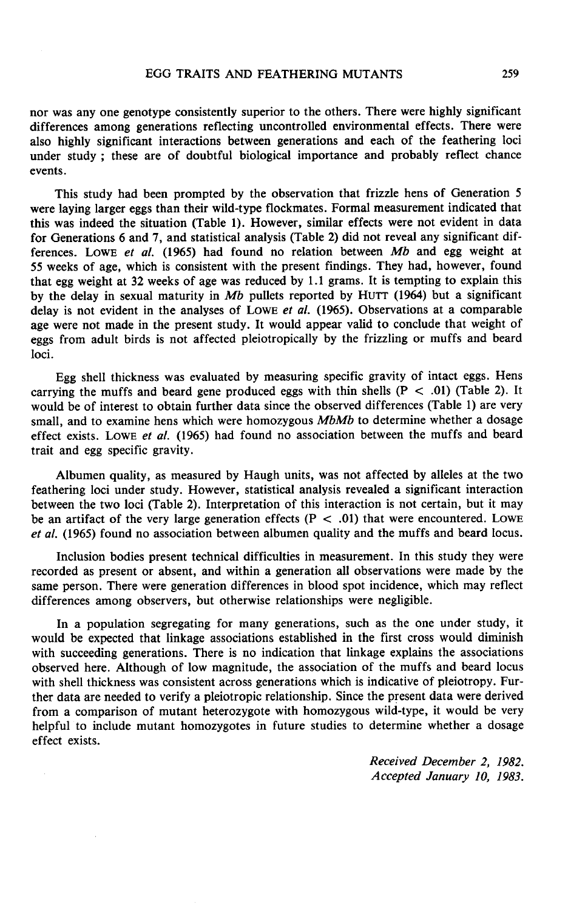### EGG TRAITS AND FEATHERING MUTANTS

nor was any one genotype consistently superior to the others. There were highly significant differences among generations reflecting uncontrolled environmental effects. There were also highly significant interactions between generations and each of the feathering loci under study ; these are of doubtful biological importance and probably reflect chance events.

This study had been prompted by the observation that frizzle hens of Generation 5 were laying larger eggs than their wild-type flockmates. Formal measurement indicated that this was indeed the situation (Table 1). However, similar effects were not evident in data for Generations 6 and 7, and statistical analysis (Table 2) did not reveal any significant differences. Lowe et al.  $(1965)$  had found no relation between Mb and egg weight at 55 weeks of age, which is consistent with the present findings. They had, however, found that egg weight at 32 weeks of age was reduced by 1.1 grams. It is tempting to explain this 55 weeks of age, which is consistent with the present findings. They had, however, found<br>that egg weight at 32 weeks of age was reduced by 1.1 grams. It is tempting to explain this<br>by the delay in sexual maturity in Mb pu delay is not evident in the analyses of LOWE et al. (1965). Observations at a comparable age were not made in the present study. It would appear valid to conclude that weight of eggs from adult birds is not affected pleiotropically by the frizzling or muffs and beard loci.

Egg shell thickness was evaluated by measuring specific gravity of intact eggs. Hens carrying the muffs and beard gene produced eggs with thin shells  $(P < .01)$  (Table 2). It would be of interest to obtain further data since the observed differences (Table 1) are very small, and to examine hens which were homozygous MbMb to determine whether a dosage effect exists. Lowe et al. (1965) had found no association between the muffs and beard trait and egg specific gravity.

Albumen quality, as measured by Haugh units, was not affected by alleles at the two feathering loci under study. However, statistical analysis revealed a significant interaction between the two loci (Table 2). Interpretation of this interaction is not certain, but it may be an artifact of the very large generation effects ( $P < .01$ ) that were encountered. LOWE et al. (1965) found no association between albumen quality and the muffs and beard locus.

Inclusion bodies present technical difficulties in measurement. In this study they were recorded as present or absent, and within a generation all observations were made by the same person. There were generation differences in blood spot incidence, which may reflect differences among observers, but otherwise relationships were negligible.

In a population segregating for many generations, such as the one under study, it would be expected that linkage associations established in the first cross would diminish with succeeding generations. There is no indication that linkage explains the associations observed here. Although of low magnitude, the association of the muffs and beard locus with shell thickness was consistent across generations which is indicative of pleiotropy. Further data are needed to verify a pleiotropic relationship. Since the present data were derived from a comparison of mutant heterozygote with homozygous wild-type, it would be very helpful to include mutant homozygotes in future studies to determine whether a dosage effect exists.

> Received December 2, 1982. Accepted January 10, 1983.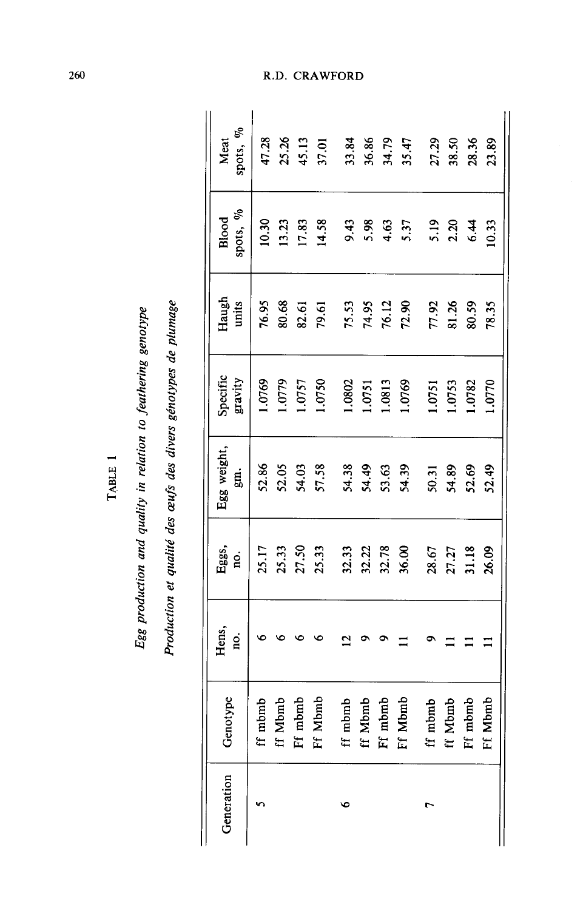| ×<br>۰ | Ċ<br>Ľ<br>× |  |
|--------|-------------|--|
|        |             |  |

# Egg production and quality in relation to feathering genotype

Production et qualité des œufs des divers génotypes de plumage

| spots, %<br>Meat<br>spots, %<br>Blood | 47.28<br>10.30 |         | 13.23<br>17.83          | 25.26<br>45.13<br>37.01<br>14.58 | 9.43    | 5.98                    | 4.63               | 33.86<br>36.86<br>35.47<br>5.37 | 27.29<br>5.19 | 38.50<br>2.20           | 28.36<br>6.44  | 23.89<br>10.33 |
|---------------------------------------|----------------|---------|-------------------------|----------------------------------|---------|-------------------------|--------------------|---------------------------------|---------------|-------------------------|----------------|----------------|
| Haugh<br>units                        | 76.95          | 80.68   | 82.61                   | 79.61                            |         | 75.53<br>74.95          |                    | 76.12<br>72.90                  | 77.92         |                         | 81.26<br>80.59 | 78.35          |
| Specific<br>gravity                   | 1.0769         | 1.0779  | 1.0757                  | 1.0750                           | 1.0802  | 1.0751                  | 1.0813             | 1.0769                          | 1.0751        | 1.0753                  | 1.0782         | 1.0770         |
| Egg weight,<br>gi.                    | 52.86          | 52.05   | 54.03<br>57.58          |                                  |         | 54.38<br>54.49<br>53.63 |                    | 54.39                           | 50.31         | 54.89                   | 52.69          | 52.49          |
| Eggs,<br>no.                          | 25.17          |         | 25.33<br>27.50<br>25.33 |                                  |         | 32.33<br>32.22<br>32.78 |                    | 36.00                           |               | 28.67<br>27.27<br>31.18 |                | 26.09          |
| Hens,<br>no.                          |                |         |                         |                                  |         |                         |                    |                                 |               |                         |                |                |
| Genotype                              | ff mbmb        | ff Mbmb | Ff mbmb<br>Ff Mbmb      |                                  | ff mbmb | ff Mbmb                 | Ff mbmb<br>Ff Mbmb |                                 | ff mbmb       | ff Mbmb                 | Ff mbmb        | lbmb<br>Ff M   |
| Generation                            |                |         |                         |                                  | ৩       |                         |                    |                                 |               |                         |                |                |

R.D. CRAWFORD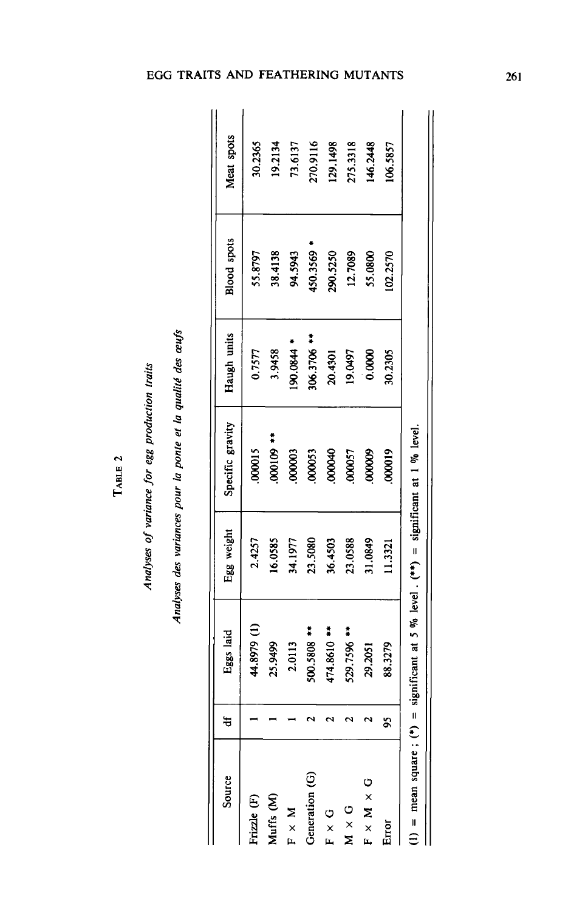| J            |  |
|--------------|--|
| Ĺ<br>Ľ<br>í, |  |

# Analyses of variance for egg production traits

Analyses des variances pour la ponte et la qualité des œufs

| Source                     | ŧ | Eggs laid                                                     | Egg weight | Specific gravity | Haugh units                      | <b>Blood</b> spots | Meat spots |
|----------------------------|---|---------------------------------------------------------------|------------|------------------|----------------------------------|--------------------|------------|
| Frizzle (F)                |   | 44.8979 (l)                                                   | 2.4257     | 000015           | 0.7577                           | 55.8797            | 30.2365    |
| Muffs (M)                  |   | 25.9499                                                       | 16.0585    | *** 601000       | 3.9458                           | 38.4138            | 19.2134    |
| $F \times M$               |   | 2.0113                                                        | 34.1977    | 000003           | 190.0844                         | 94.5943            | 73.6137    |
| Generation (G)             |   | 500.5808 **                                                   | 23.5080    | 000053           | $\ddot{\phantom{a}}$<br>306.3706 | 450.3569           | 270.9116   |
| つ<br>エ                     |   | 474.8610 ***                                                  | 36.4503    | 000040           | 20.4301                          | 290.5250           | 129.1498   |
| $\frac{c}{x}$              |   | 529.7596 **                                                   | 23.0588    | 000057           | 19.0497                          | 12.7089            | 275.3318   |
| $F \times M \times G$      |   | 29.2051                                                       | 31.0849    | 00000            | 0.0000                           | 55.0800            | 146.2448   |
| Eror                       | ò | 88.3279                                                       | 11.3321    | 000019           | 30.2305                          | 02.2570            | 106.5857   |
| $(1)$ = mean square; $(*)$ |   | = significant at 5 % level . (**) = significant at 1 % level. |            |                  |                                  |                    |            |

# EGG TRAITS AND FEATHERING MUTANTS

 $261$